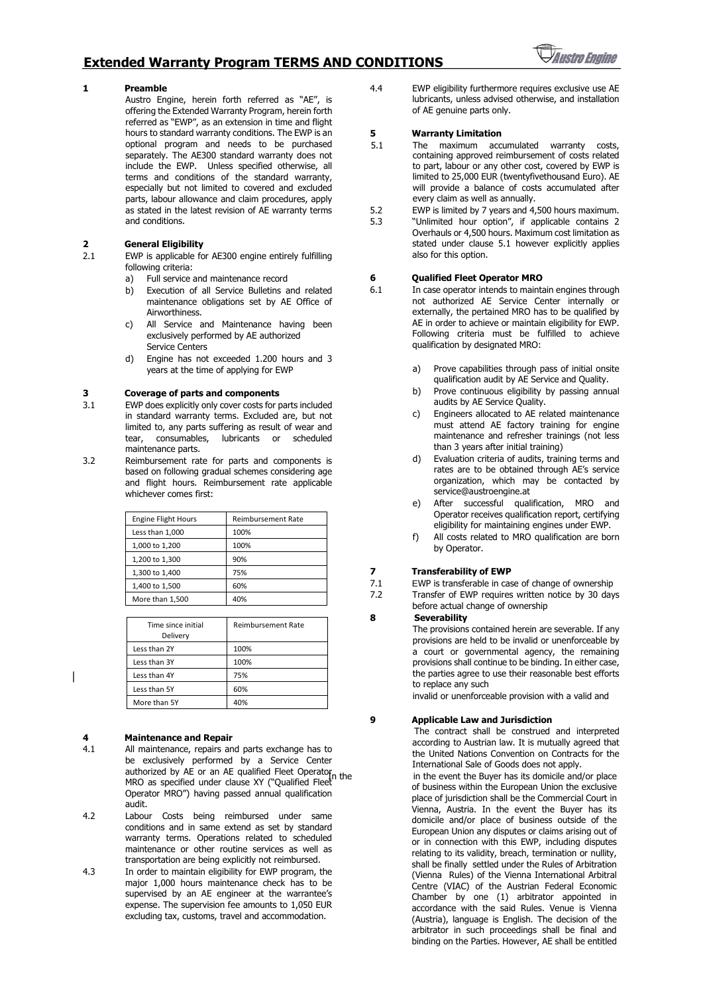### **Extended Warranty Program TERMS AND CONDITIONS**



#### **1 Preamble**

Austro Engine, herein forth referred as "AE", is offering the Extended Warranty Program, herein forth referred as "EWP", as an extension in time and flight hours to standard warranty conditions. The EWP is an optional program and needs to be purchased separately. The AE300 standard warranty does not include the EWP. Unless specified otherwise, all terms and conditions of the standard warranty, especially but not limited to covered and excluded parts, labour allowance and claim procedures, apply as stated in the latest revision of AE warranty terms and conditions.

## **2 General Eligibility**

EWP is applicable for AE300 engine entirely fulfilling following criteria:

- a) Full service and maintenance record
- b) Execution of all Service Bulletins and related maintenance obligations set by AE Office of **Airworthiness**
- c) All Service and Maintenance having been exclusively performed by AE authorized Service Centers
- d) Engine has not exceeded 1.200 hours and 3 years at the time of applying for EWP

#### **3 Coverage of parts and components**

- 3.1 EWP does explicitly only cover costs for parts included in standard warranty terms. Excluded are, but not limited to, any parts suffering as result of wear and tear, consumables, lubricants or scheduled maintenance parts.
- 3.2 Reimbursement rate for parts and components is based on following gradual schemes considering age and flight hours. Reimbursement rate applicable whichever comes first:

| <b>Engine Flight Hours</b> | <b>Reimbursement Rate</b> |
|----------------------------|---------------------------|
| Less than 1.000            | 100%                      |
| 1,000 to 1,200             | 100%                      |
| 1,200 to 1,300             | 90%                       |
| 1,300 to 1,400             | 75%                       |
| 1,400 to 1,500             | 60%                       |
| More than 1,500            | 40%                       |

| Time since initial<br>Delivery | <b>Reimbursement Rate</b> |
|--------------------------------|---------------------------|
| Less than 2Y                   | 100%                      |
| Less than 3Y                   | 100%                      |
| Less than 4Y                   | 75%                       |
| Less than 5Y                   | 60%                       |
| More than 5Y                   |                           |

#### **4 Maintenance and Repair**

- 4.1 All maintenance, repairs and parts exchange has to be exclusively performed by a Service Center authorized by AE or an AE qualified Fleet Operator MRO as specified under clause XY ("Qualified Fleet Operator MRO") having passed annual qualification audit.
- 4.2 Labour Costs being reimbursed under same conditions and in same extend as set by standard warranty terms. Operations related to scheduled maintenance or other routine services as well as transportation are being explicitly not reimbursed.
- 4.3 In order to maintain eligibility for EWP program, the major 1,000 hours maintenance check has to be supervised by an AE engineer at the warrantee's expense. The supervision fee amounts to 1,050 EUR excluding tax, customs, travel and accommodation.

4.4 EWP eligibility furthermore requires exclusive use AE lubricants, unless advised otherwise, and installation of AE genuine parts only.

#### **5 Warranty Limitation**

- 5.1 The maximum accumulated warranty costs, containing approved reimbursement of costs related to part, labour or any other cost, covered by EWP is limited to 25,000 EUR (twentyfivethousand Euro). AE will provide a balance of costs accumulated after every claim as well as annually.
- 5.2 EWP is limited by 7 years and 4,500 hours maximum.
- 5.3 "Unlimited hour option", if applicable contains 2 Overhauls or 4,500 hours. Maximum cost limitation as stated under clause 5.1 however explicitly applies also for this option.

# **6 Qualified Fleet Operator MRO**<br>**6.1** In case operator intends to mainta

- In case operator intends to maintain engines through not authorized AE Service Center internally or externally, the pertained MRO has to be qualified by AE in order to achieve or maintain eligibility for EWP. Following criteria must be fulfilled to achieve qualification by designated MRO:
	- a) Prove capabilities through pass of initial onsite qualification audit by AE Service and Quality.
	- b) Prove continuous eligibility by passing annual audits by AE Service Quality.
	- c) Engineers allocated to AE related maintenance must attend AE factory training for engine maintenance and refresher trainings (not less than 3 years after initial training)
	- d) Evaluation criteria of audits, training terms and rates are to be obtained through AE's service organization, which may be contacted by service@austroengine.at
	- e) After successful qualification, MRO and Operator receives qualification report, certifying eligibility for maintaining engines under EWP.
	- f) All costs related to MRO qualification are born by Operator.

#### **7 Transferability of EWP**

- 7.1 EWP is transferable in case of change of ownership
- 7.2 Transfer of EWP requires written notice by 30 days before actual change of ownership

#### **8 Severability**

The provisions contained herein are severable. If any provisions are held to be invalid or unenforceable by a court or governmental agency, the remaining provisions shall continue to be binding. In either case, the parties agree to use their reasonable best efforts to replace any such

invalid or unenforceable provision with a valid and

#### **9 Applicable Law and Jurisdiction**

The contract shall be construed and interpreted according to Austrian law. It is mutually agreed that the United Nations Convention on Contracts for the International Sale of Goods does not apply.

in the event the Buver has its domicile and/or place of business within the European Union the exclusive place of jurisdiction shall be the Commercial Court in Vienna, Austria. In the event the Buyer has its domicile and/or place of business outside of the European Union any disputes or claims arising out of or in connection with this EWP, including disputes relating to its validity, breach, termination or nullity, shall be finally settled under the Rules of Arbitration (Vienna Rules) of the Vienna International Arbitral Centre (VIAC) of the Austrian Federal Economic Chamber by one (1) arbitrator appointed in accordance with the said Rules. Venue is Vienna (Austria), language is English. The decision of the arbitrator in such proceedings shall be final and binding on the Parties. However, AE shall be entitled